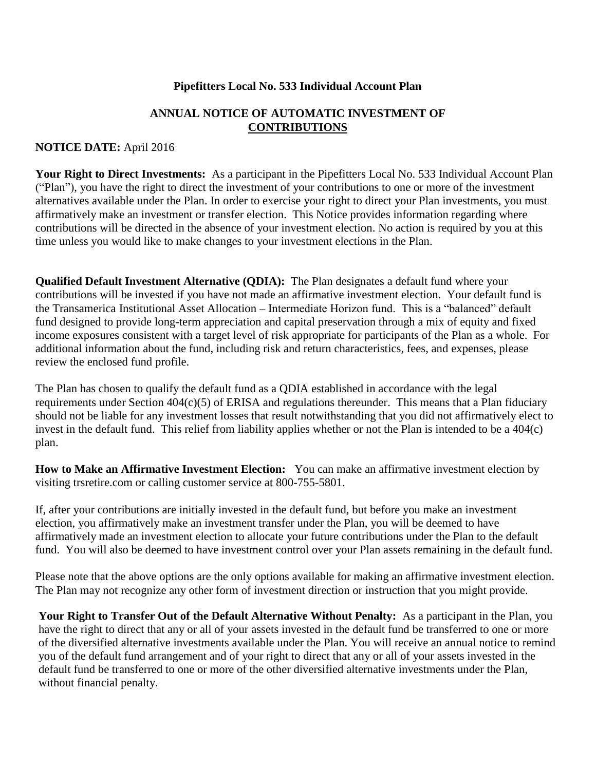#### **Pipefitters Local No. 533 Individual Account Plan**

## **ANNUAL NOTICE OF AUTOMATIC INVESTMENT OF CONTRIBUTIONS**

### **NOTICE DATE:** April 2016

**Your Right to Direct Investments:** As a participant in the Pipefitters Local No. 533 Individual Account Plan ("Plan"), you have the right to direct the investment of your contributions to one or more of the investment alternatives available under the Plan. In order to exercise your right to direct your Plan investments, you must affirmatively make an investment or transfer election. This Notice provides information regarding where contributions will be directed in the absence of your investment election. No action is required by you at this time unless you would like to make changes to your investment elections in the Plan.

**Qualified Default Investment Alternative (QDIA):** The Plan designates a default fund where your contributions will be invested if you have not made an affirmative investment election. Your default fund is the Transamerica Institutional Asset Allocation – Intermediate Horizon fund. This is a "balanced" default fund designed to provide long-term appreciation and capital preservation through a mix of equity and fixed income exposures consistent with a target level of risk appropriate for participants of the Plan as a whole. For additional information about the fund, including risk and return characteristics, fees, and expenses, please review the enclosed fund profile.

The Plan has chosen to qualify the default fund as a QDIA established in accordance with the legal requirements under Section 404(c)(5) of ERISA and regulations thereunder. This means that a Plan fiduciary should not be liable for any investment losses that result notwithstanding that you did not affirmatively elect to invest in the default fund. This relief from liability applies whether or not the Plan is intended to be a 404(c) plan.

**How to Make an Affirmative Investment Election:** You can make an affirmative investment election by visiting trsretire.com or calling customer service at 800-755-5801.

If, after your contributions are initially invested in the default fund, but before you make an investment election, you affirmatively make an investment transfer under the Plan, you will be deemed to have affirmatively made an investment election to allocate your future contributions under the Plan to the default fund. You will also be deemed to have investment control over your Plan assets remaining in the default fund.

Please note that the above options are the only options available for making an affirmative investment election. The Plan may not recognize any other form of investment direction or instruction that you might provide.

**Your Right to Transfer Out of the Default Alternative Without Penalty:** As a participant in the Plan, you have the right to direct that any or all of your assets invested in the default fund be transferred to one or more of the diversified alternative investments available under the Plan. You will receive an annual notice to remind you of the default fund arrangement and of your right to direct that any or all of your assets invested in the default fund be transferred to one or more of the other diversified alternative investments under the Plan, without financial penalty.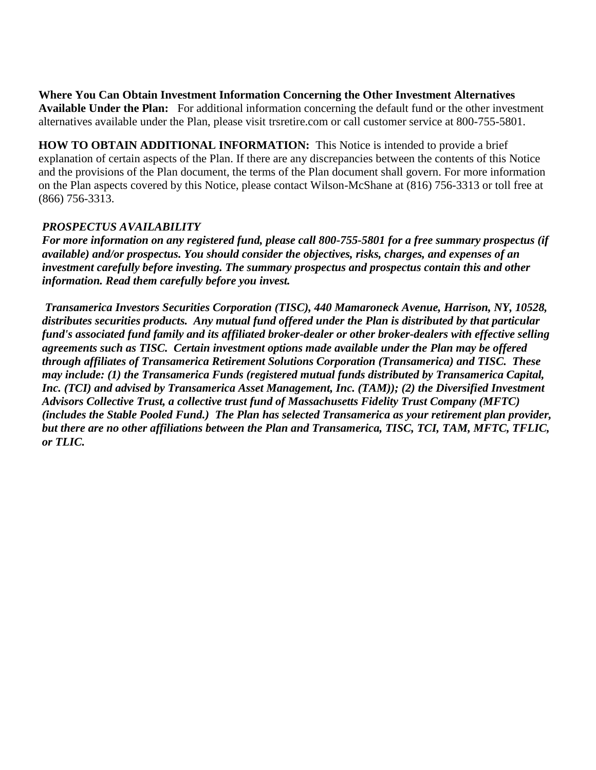<sup>2</sup> **Where You Can Obtain Investment Information Concerning the Other Investment Alternatives Available Under the Plan:** For additional information concerning the default fund or the other investment alternatives available under the Plan, please visit trsretire.com or call customer service at 800-755-5801.

**HOW TO OBTAIN ADDITIONAL INFORMATION:** This Notice is intended to provide a brief explanation of certain aspects of the Plan. If there are any discrepancies between the contents of this Notice and the provisions of the Plan document, the terms of the Plan document shall govern. For more information on the Plan aspects covered by this Notice, please contact Wilson-McShane at (816) 756-3313 or toll free at (866) 756-3313.

## *PROSPECTUS AVAILABILITY*

*For more information on any registered fund, please call 800-755-5801 for a free summary prospectus (if available) and/or prospectus. You should consider the objectives, risks, charges, and expenses of an investment carefully before investing. The summary prospectus and prospectus contain this and other information. Read them carefully before you invest.*

*Transamerica Investors Securities Corporation (TISC), 440 Mamaroneck Avenue, Harrison, NY, 10528, distributes securities products. Any mutual fund offered under the Plan is distributed by that particular fund's associated fund family and its affiliated broker-dealer or other broker-dealers with effective selling agreements such as TISC. Certain investment options made available under the Plan may be offered through affiliates of Transamerica Retirement Solutions Corporation (Transamerica) and TISC. These may include: (1) the Transamerica Funds (registered mutual funds distributed by Transamerica Capital, Inc. (TCI) and advised by Transamerica Asset Management, Inc. (TAM)); (2) the Diversified Investment Advisors Collective Trust, a collective trust fund of Massachusetts Fidelity Trust Company (MFTC) (includes the Stable Pooled Fund.) The Plan has selected Transamerica as your retirement plan provider, but there are no other affiliations between the Plan and Transamerica, TISC, TCI, TAM, MFTC, TFLIC, or TLIC.*